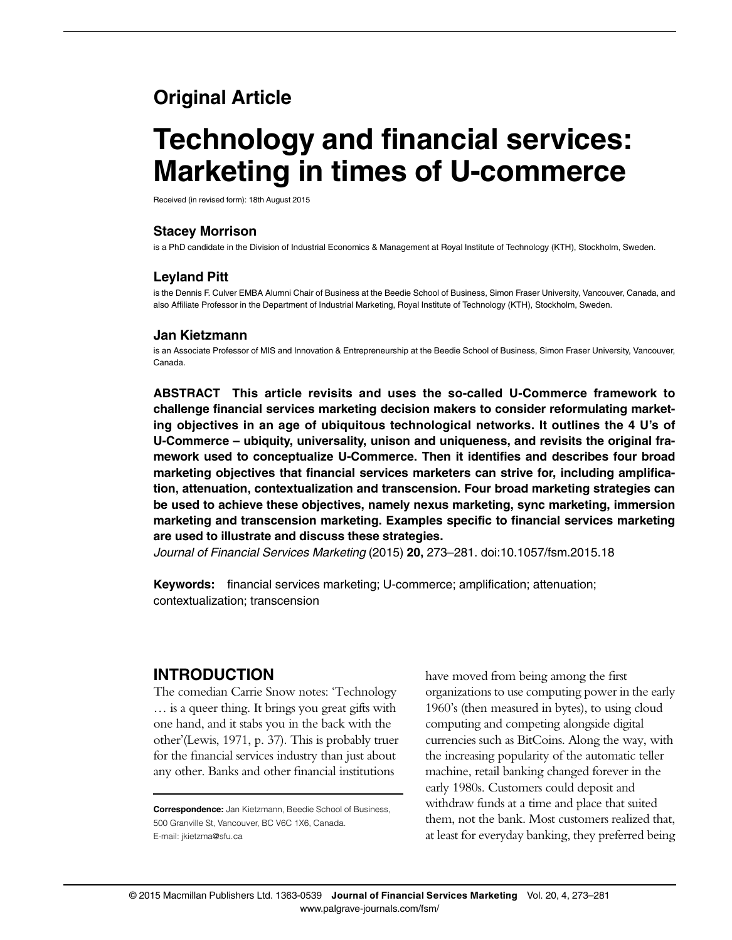# Original Article

# Technology and financial services: Marketing in times of U-commerce

Received (in revised form): 18th August 2015

#### Stacey Morrison

is a PhD candidate in the Division of Industrial Economics & Management at Royal Institute of Technology (KTH), Stockholm, Sweden.

#### Leyland Pitt

is the Dennis F. Culver EMBA Alumni Chair of Business at the Beedie School of Business, Simon Fraser University, Vancouver, Canada, and also Affiliate Professor in the Department of Industrial Marketing, Royal Institute of Technology (KTH), Stockholm, Sweden.

#### Jan Kietzmann

is an Associate Professor of MIS and Innovation & Entrepreneurship at the Beedie School of Business, Simon Fraser University, Vancouver, Canada.

ABSTRACT This article revisits and uses the so-called U-Commerce framework to challenge financial services marketing decision makers to consider reformulating marketing objectives in an age of ubiquitous technological networks. It outlines the 4 U's of U-Commerce – ubiquity, universality, unison and uniqueness, and revisits the original framework used to conceptualize U-Commerce. Then it identifies and describes four broad marketing objectives that financial services marketers can strive for, including amplification, attenuation, contextualization and transcension. Four broad marketing strategies can be used to achieve these objectives, namely nexus marketing, sync marketing, immersion marketing and transcension marketing. Examples specific to financial services marketing are used to illustrate and discuss these strategies.

Journal of Financial Services Marketing (2015) 20, 273–281. doi:[10.1057/fsm.2015.18](http://dx.doi.org/10.1057/fsm.2015.18)

Keywords: financial services marketing; U-commerce; amplification; attenuation; contextualization; transcension

## INTRODUCTION

The comedian Carrie Snow notes: 'Technology … is a queer thing. It brings you great gifts with one hand, and it stabs you in the back with the other'[\(Lewis, 1971,](#page-8-0) p. 37). This is probably truer for the financial services industry than just about any other. Banks and other financial institutions

have moved from being among the first organizations to use computing power in the early 1960's (then measured in bytes), to using cloud computing and competing alongside digital currencies such as BitCoins. Along the way, with the increasing popularity of the automatic teller machine, retail banking changed forever in the early 1980s. Customers could deposit and withdraw funds at a time and place that suited them, not the bank. Most customers realized that, at least for everyday banking, they preferred being

Correspondence: Jan Kietzmann, Beedie School of Business, 500 Granville St, Vancouver, BC V6C 1X6, Canada. E-mail: [jkietzma@sfu.ca](mailto:jkietzma@sfu.ca)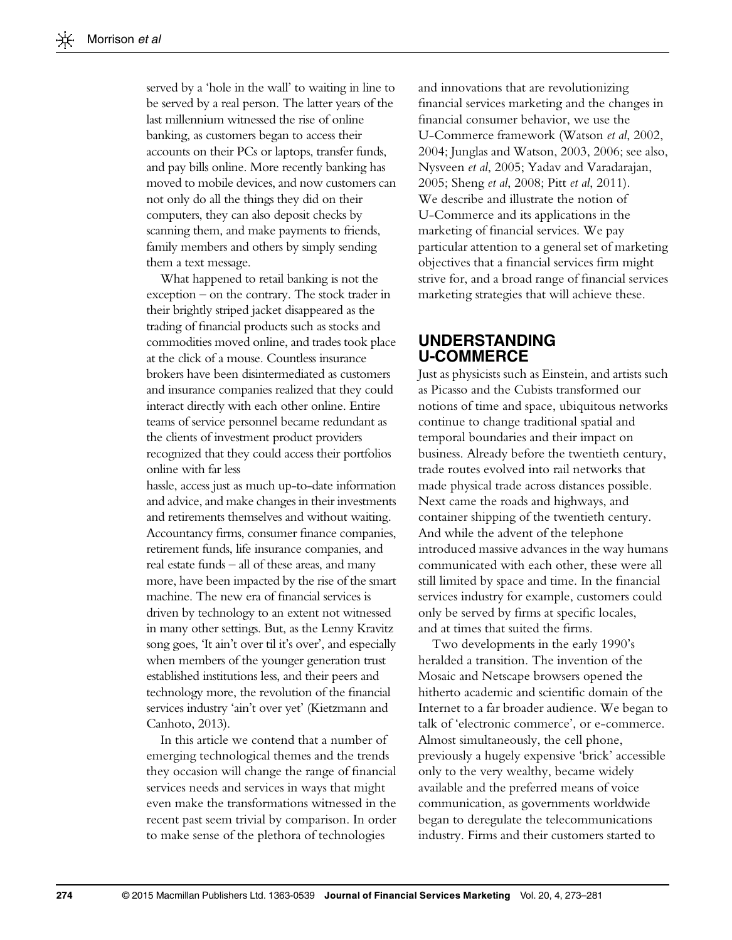served by a 'hole in the wall' to waiting in line to be served by a real person. The latter years of the last millennium witnessed the rise of online banking, as customers began to access their accounts on their PCs or laptops, transfer funds, and pay bills online. More recently banking has moved to mobile devices, and now customers can not only do all the things they did on their computers, they can also deposit checks by scanning them, and make payments to friends, family members and others by simply sending them a text message.

What happened to retail banking is not the exception – on the contrary. The stock trader in their brightly striped jacket disappeared as the trading of financial products such as stocks and commodities moved online, and trades took place at the click of a mouse. Countless insurance brokers have been disintermediated as customers and insurance companies realized that they could interact directly with each other online. Entire teams of service personnel became redundant as the clients of investment product providers recognized that they could access their portfolios online with far less

hassle, access just as much up-to-date information and advice, and make changes in their investments and retirements themselves and without waiting. Accountancy firms, consumer finance companies, retirement funds, life insurance companies, and real estate funds – all of these areas, and many more, have been impacted by the rise of the smart machine. The new era of financial services is driven by technology to an extent not witnessed in many other settings. But, as the Lenny Kravitz song goes, 'It ain't over til it's over', and especially when members of the younger generation trust established institutions less, and their peers and technology more, the revolution of the financial services industry 'ain't over yet' ([Kietzmann and](#page-8-0) [Canhoto, 2013\)](#page-8-0).

In this article we contend that a number of emerging technological themes and the trends they occasion will change the range of financial services needs and services in ways that might even make the transformations witnessed in the recent past seem trivial by comparison. In order to make sense of the plethora of technologies

and innovations that are revolutionizing financial services marketing and the changes in financial consumer behavior, we use the U-Commerce framework ([Watson](#page-8-0) et al, 2002, [2004; Junglas and Watson, 2003, 2006](#page-8-0); see also, [Nysveen](#page-8-0) et al, 2005; [Yadav and Varadarajan,](#page-8-0) [2005;](#page-8-0) Sheng et al[, 2008;](#page-8-0) Pitt et al[, 2011\)](#page-8-0). We describe and illustrate the notion of U-Commerce and its applications in the marketing of financial services. We pay particular attention to a general set of marketing objectives that a financial services firm might strive for, and a broad range of financial services marketing strategies that will achieve these.

### UNDERSTANDING U-COMMERCE

Just as physicists such as Einstein, and artists such as Picasso and the Cubists transformed our notions of time and space, ubiquitous networks continue to change traditional spatial and temporal boundaries and their impact on business. Already before the twentieth century, trade routes evolved into rail networks that made physical trade across distances possible. Next came the roads and highways, and container shipping of the twentieth century. And while the advent of the telephone introduced massive advances in the way humans communicated with each other, these were all still limited by space and time. In the financial services industry for example, customers could only be served by firms at specific locales, and at times that suited the firms.

Two developments in the early 1990's heralded a transition. The invention of the Mosaic and Netscape browsers opened the hitherto academic and scientific domain of the Internet to a far broader audience. We began to talk of 'electronic commerce', or e-commerce. Almost simultaneously, the cell phone, previously a hugely expensive 'brick' accessible only to the very wealthy, became widely available and the preferred means of voice communication, as governments worldwide began to deregulate the telecommunications industry. Firms and their customers started to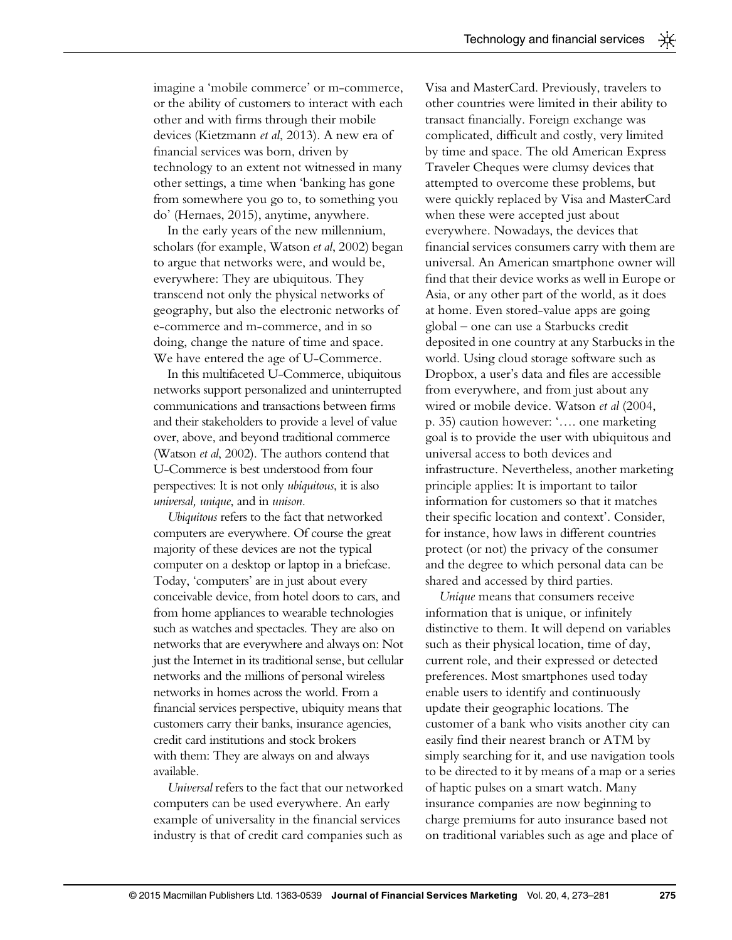imagine a 'mobile commerce' or m-commerce, or the ability of customers to interact with each other and with firms through their mobile devices ([Kietzmann](#page-8-0) et al, 2013). A new era of financial services was born, driven by technology to an extent not witnessed in many other settings, a time when 'banking has gone from somewhere you go to, to something you do' ([Hernaes, 2015\)](#page-8-0), anytime, anywhere.

In the early years of the new millennium, scholars (for example, [Watson](#page-8-0) et al, 2002) began to argue that networks were, and would be, everywhere: They are ubiquitous. They transcend not only the physical networks of geography, but also the electronic networks of e-commerce and m-commerce, and in so doing, change the nature of time and space. We have entered the age of U-Commerce.

In this multifaceted U-Commerce, ubiquitous networks support personalized and uninterrupted communications and transactions between firms and their stakeholders to provide a level of value over, above, and beyond traditional commerce ([Watson](#page-8-0) et al, 2002). The authors contend that U-Commerce is best understood from four perspectives: It is not only ubiquitous, it is also universal, unique, and in unison.

Ubiquitous refers to the fact that networked computers are everywhere. Of course the great majority of these devices are not the typical computer on a desktop or laptop in a briefcase. Today, 'computers' are in just about every conceivable device, from hotel doors to cars, and from home appliances to wearable technologies such as watches and spectacles. They are also on networks that are everywhere and always on: Not just the Internet in its traditional sense, but cellular networks and the millions of personal wireless networks in homes across the world. From a financial services perspective, ubiquity means that customers carry their banks, insurance agencies, credit card institutions and stock brokers with them: They are always on and always available.

Universal refers to the fact that our networked computers can be used everywhere. An early example of universality in the financial services industry is that of credit card companies such as

Visa and MasterCard. Previously, travelers to other countries were limited in their ability to transact financially. Foreign exchange was complicated, difficult and costly, very limited by time and space. The old American Express Traveler Cheques were clumsy devices that attempted to overcome these problems, but were quickly replaced by Visa and MasterCard when these were accepted just about everywhere. Nowadays, the devices that financial services consumers carry with them are universal. An American smartphone owner will find that their device works as well in Europe or Asia, or any other part of the world, as it does at home. Even stored-value apps are going global – one can use a Starbucks credit deposited in one country at any Starbucks in the world. Using cloud storage software such as Dropbox, a user's data and files are accessible from everywhere, and from just about any wired or mobile device. [Watson](#page-8-0) et al (2004, p. 35) caution however: '…. one marketing goal is to provide the user with ubiquitous and universal access to both devices and infrastructure. Nevertheless, another marketing principle applies: It is important to tailor information for customers so that it matches their specific location and context'. Consider, for instance, how laws in different countries protect (or not) the privacy of the consumer and the degree to which personal data can be shared and accessed by third parties.

Unique means that consumers receive information that is unique, or infinitely distinctive to them. It will depend on variables such as their physical location, time of day, current role, and their expressed or detected preferences. Most smartphones used today enable users to identify and continuously update their geographic locations. The customer of a bank who visits another city can easily find their nearest branch or ATM by simply searching for it, and use navigation tools to be directed to it by means of a map or a series of haptic pulses on a smart watch. Many insurance companies are now beginning to charge premiums for auto insurance based not on traditional variables such as age and place of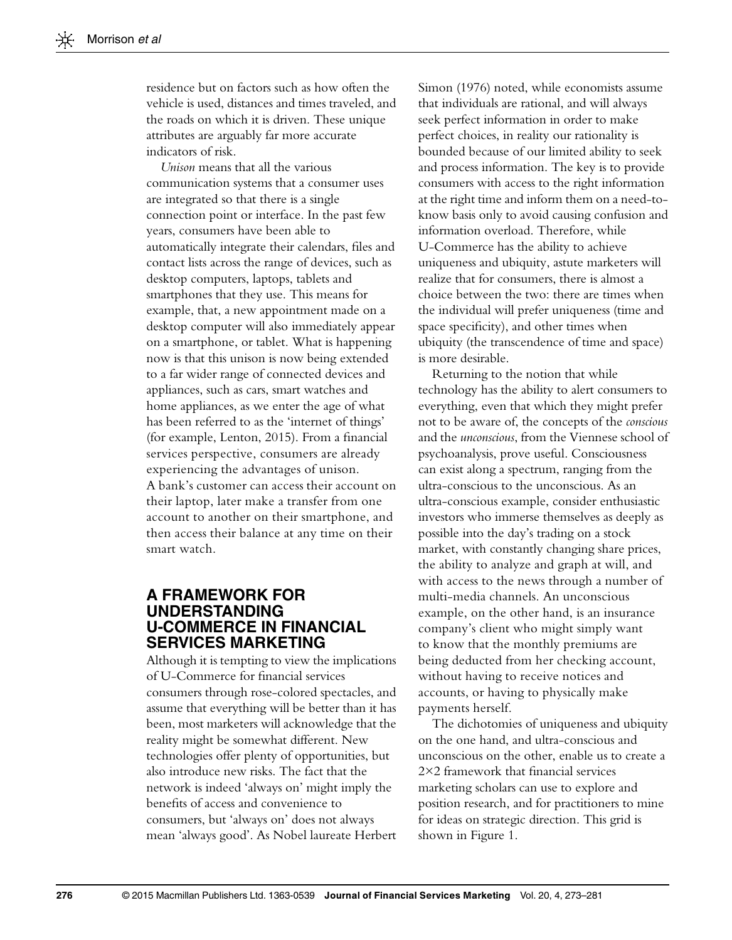residence but on factors such as how often the vehicle is used, distances and times traveled, and the roads on which it is driven. These unique attributes are arguably far more accurate indicators of risk.

Unison means that all the various communication systems that a consumer uses are integrated so that there is a single connection point or interface. In the past few years, consumers have been able to automatically integrate their calendars, files and contact lists across the range of devices, such as desktop computers, laptops, tablets and smartphones that they use. This means for example, that, a new appointment made on a desktop computer will also immediately appear on a smartphone, or tablet. What is happening now is that this unison is now being extended to a far wider range of connected devices and appliances, such as cars, smart watches and home appliances, as we enter the age of what has been referred to as the 'internet of things' (for example, [Lenton, 2015\)](#page-8-0). From a financial services perspective, consumers are already experiencing the advantages of unison. A bank's customer can access their account on their laptop, later make a transfer from one account to another on their smartphone, and then access their balance at any time on their smart watch.

#### A FRAMEWORK FOR UNDERSTANDING U-COMMERCE IN FINANCIAL SERVICES MARKETING

Although it is tempting to view the implications of U-Commerce for financial services consumers through rose-colored spectacles, and assume that everything will be better than it has been, most marketers will acknowledge that the reality might be somewhat different. New technologies offer plenty of opportunities, but also introduce new risks. The fact that the network is indeed 'always on' might imply the benefits of access and convenience to consumers, but 'always on' does not always mean 'always good'. As Nobel laureate Herbert [Simon \(1976\)](#page-8-0) noted, while economists assume that individuals are rational, and will always seek perfect information in order to make perfect choices, in reality our rationality is bounded because of our limited ability to seek and process information. The key is to provide consumers with access to the right information at the right time and inform them on a need-toknow basis only to avoid causing confusion and information overload. Therefore, while U-Commerce has the ability to achieve uniqueness and ubiquity, astute marketers will realize that for consumers, there is almost a choice between the two: there are times when the individual will prefer uniqueness (time and space specificity), and other times when ubiquity (the transcendence of time and space) is more desirable.

Returning to the notion that while technology has the ability to alert consumers to everything, even that which they might prefer not to be aware of, the concepts of the conscious and the unconscious, from the Viennese school of psychoanalysis, prove useful. Consciousness can exist along a spectrum, ranging from the ultra-conscious to the unconscious. As an ultra-conscious example, consider enthusiastic investors who immerse themselves as deeply as possible into the day's trading on a stock market, with constantly changing share prices, the ability to analyze and graph at will, and with access to the news through a number of multi-media channels. An unconscious example, on the other hand, is an insurance company's client who might simply want to know that the monthly premiums are being deducted from her checking account, without having to receive notices and accounts, or having to physically make payments herself.

The dichotomies of uniqueness and ubiquity on the one hand, and ultra-conscious and unconscious on the other, enable us to create a 2×2 framework that financial services marketing scholars can use to explore and position research, and for practitioners to mine for ideas on strategic direction. This grid is shown in [Figure 1.](#page-4-0)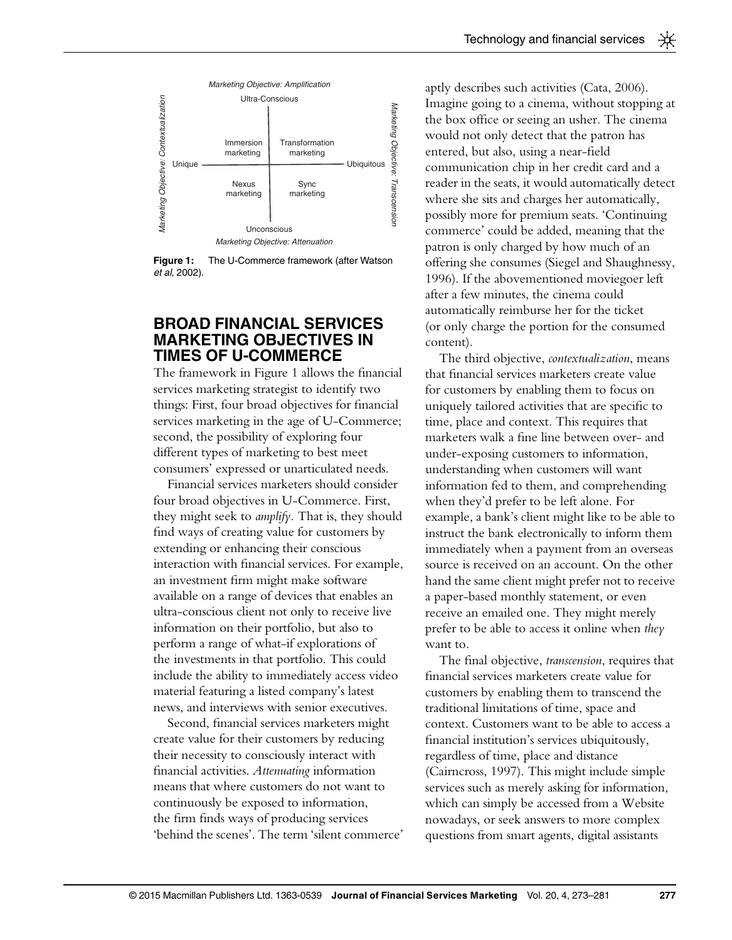<span id="page-4-0"></span>

Figure 1: The U-Commerce framework (after [Watson](#page-8-0) et al[, 2002](#page-8-0)).

#### BROAD FINANCIAL SERVICES MARKETING OBJECTIVES IN TIMES OF U-COMMERCE

The framework in Figure 1 allows the financial services marketing strategist to identify two things: First, four broad objectives for financial services marketing in the age of U-Commerce; second, the possibility of exploring four different types of marketing to best meet consumers' expressed or unarticulated needs.

Financial services marketers should consider four broad objectives in U-Commerce. First, they might seek to amplify. That is, they should find ways of creating value for customers by extending or enhancing their conscious interaction with financial services. For example, an investment firm might make software available on a range of devices that enables an ultra-conscious client not only to receive live information on their portfolio, but also to perform a range of what-if explorations of the investments in that portfolio. This could include the ability to immediately access video material featuring a listed company's latest news, and interviews with senior executives.

Second, financial services marketers might create value for their customers by reducing their necessity to consciously interact with financial activities. Attenuating information means that where customers do not want to continuously be exposed to information, the firm finds ways of producing services 'behind the scenes'. The term 'silent commerce' aptly describes such activities ([Cata, 2006\)](#page-7-0). Imagine going to a cinema, without stopping at the box office or seeing an usher. The cinema would not only detect that the patron has entered, but also, using a near-field communication chip in her credit card and a reader in the seats, it would automatically detect where she sits and charges her automatically, possibly more for premium seats. 'Continuing commerce' could be added, meaning that the patron is only charged by how much of an offering she consumes [\(Siegel and Shaughnessy,](#page-8-0) [1996](#page-8-0)). If the abovementioned moviegoer left after a few minutes, the cinema could automatically reimburse her for the ticket (or only charge the portion for the consumed content).

The third objective, contextualization, means that financial services marketers create value for customers by enabling them to focus on uniquely tailored activities that are specific to time, place and context. This requires that marketers walk a fine line between over- and under-exposing customers to information, understanding when customers will want information fed to them, and comprehending when they'd prefer to be left alone. For example, a bank's client might like to be able to instruct the bank electronically to inform them immediately when a payment from an overseas source is received on an account. On the other hand the same client might prefer not to receive a paper-based monthly statement, or even receive an emailed one. They might merely prefer to be able to access it online when they want to.

The final objective, transcension, requires that financial services marketers create value for customers by enabling them to transcend the traditional limitations of time, space and context. Customers want to be able to access a financial institution's services ubiquitously, regardless of time, place and distance [\(Cairncross, 1997](#page-7-0)). This might include simple services such as merely asking for information, which can simply be accessed from a Website nowadays, or seek answers to more complex questions from smart agents, digital assistants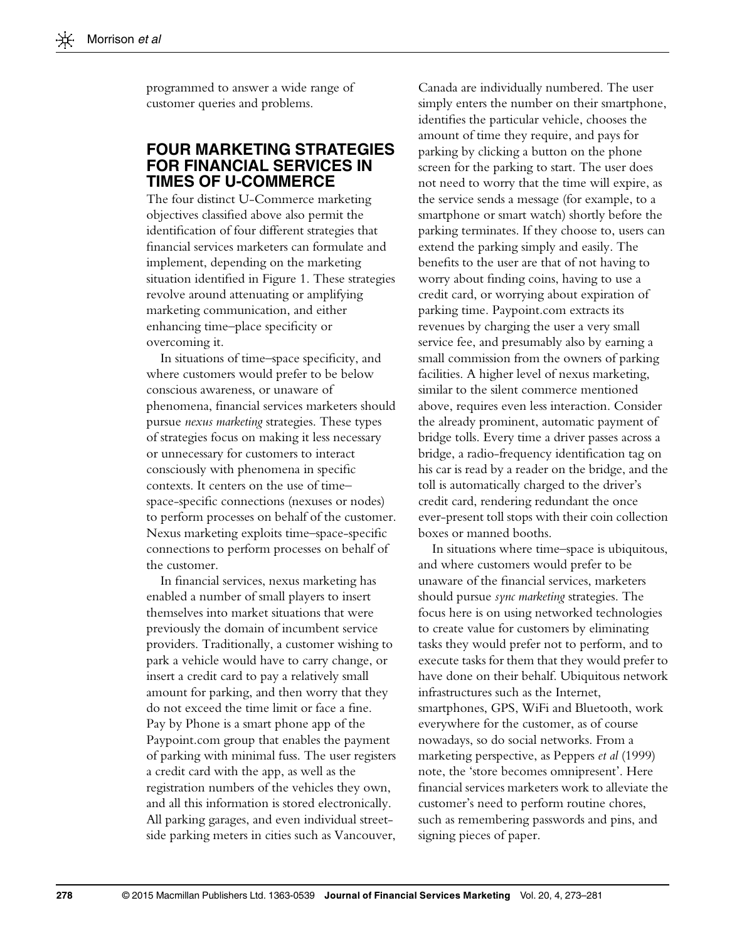programmed to answer a wide range of customer queries and problems.

#### FOUR MARKETING STRATEGIES FOR FINANCIAL SERVICES IN TIMES OF U-COMMERCE

The four distinct U-Commerce marketing objectives classified above also permit the identification of four different strategies that financial services marketers can formulate and implement, depending on the marketing situation identified in [Figure 1](#page-4-0). These strategies revolve around attenuating or amplifying marketing communication, and either enhancing time–place specificity or overcoming it.

In situations of time–space specificity, and where customers would prefer to be below conscious awareness, or unaware of phenomena, financial services marketers should pursue nexus marketing strategies. These types of strategies focus on making it less necessary or unnecessary for customers to interact consciously with phenomena in specific contexts. It centers on the use of time– space-specific connections (nexuses or nodes) to perform processes on behalf of the customer. Nexus marketing exploits time–space-specific connections to perform processes on behalf of the customer.

In financial services, nexus marketing has enabled a number of small players to insert themselves into market situations that were previously the domain of incumbent service providers. Traditionally, a customer wishing to park a vehicle would have to carry change, or insert a credit card to pay a relatively small amount for parking, and then worry that they do not exceed the time limit or face a fine. Pay by Phone is a smart phone app of the Paypoint.com group that enables the payment of parking with minimal fuss. The user registers a credit card with the app, as well as the registration numbers of the vehicles they own, and all this information is stored electronically. All parking garages, and even individual streetside parking meters in cities such as Vancouver,

Canada are individually numbered. The user simply enters the number on their smartphone, identifies the particular vehicle, chooses the amount of time they require, and pays for parking by clicking a button on the phone screen for the parking to start. The user does not need to worry that the time will expire, as the service sends a message (for example, to a smartphone or smart watch) shortly before the parking terminates. If they choose to, users can extend the parking simply and easily. The benefits to the user are that of not having to worry about finding coins, having to use a credit card, or worrying about expiration of parking time. Paypoint.com extracts its revenues by charging the user a very small service fee, and presumably also by earning a small commission from the owners of parking facilities. A higher level of nexus marketing, similar to the silent commerce mentioned above, requires even less interaction. Consider the already prominent, automatic payment of bridge tolls. Every time a driver passes across a bridge, a radio-frequency identification tag on his car is read by a reader on the bridge, and the toll is automatically charged to the driver's credit card, rendering redundant the once ever-present toll stops with their coin collection boxes or manned booths.

In situations where time–space is ubiquitous, and where customers would prefer to be unaware of the financial services, marketers should pursue *sync marketing* strategies. The focus here is on using networked technologies to create value for customers by eliminating tasks they would prefer not to perform, and to execute tasks for them that they would prefer to have done on their behalf. Ubiquitous network infrastructures such as the Internet, smartphones, GPS, WiFi and Bluetooth, work everywhere for the customer, as of course nowadays, so do social networks. From a marketing perspective, as [Peppers](#page-8-0) et al (1999) note, the 'store becomes omnipresent'. Here financial services marketers work to alleviate the customer's need to perform routine chores, such as remembering passwords and pins, and signing pieces of paper.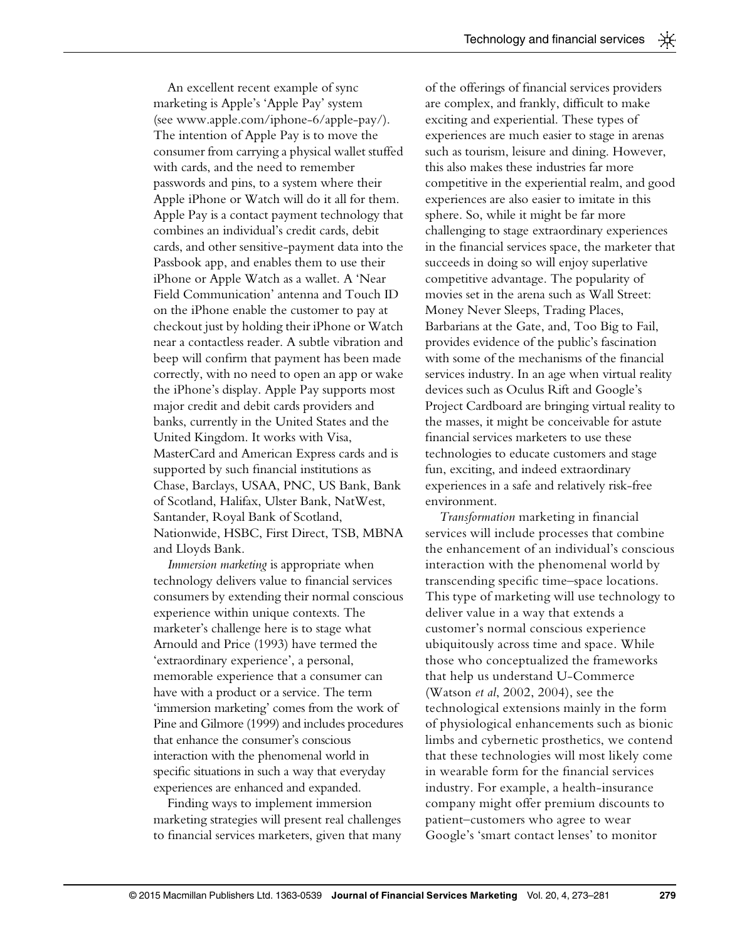An excellent recent example of sync marketing is Apple's 'Apple Pay' system (see<www.apple.com/iphone-6/apple-pay/>). The intention of Apple Pay is to move the consumer from carrying a physical wallet stuffed with cards, and the need to remember passwords and pins, to a system where their Apple iPhone or Watch will do it all for them. Apple Pay is a contact payment technology that combines an individual's credit cards, debit cards, and other sensitive-payment data into the Passbook app, and enables them to use their iPhone or Apple Watch as a wallet. A 'Near Field Communication' antenna and Touch ID on the iPhone enable the customer to pay at checkout just by holding their iPhone or Watch near a contactless reader. A subtle vibration and beep will confirm that payment has been made correctly, with no need to open an app or wake the iPhone's display. Apple Pay supports most major credit and debit cards providers and banks, currently in the United States and the United Kingdom. It works with Visa, MasterCard and American Express cards and is supported by such financial institutions as Chase, Barclays, USAA, PNC, US Bank, Bank of Scotland, Halifax, Ulster Bank, NatWest, Santander, Royal Bank of Scotland, Nationwide, HSBC, First Direct, TSB, MBNA and Lloyds Bank.

Immersion marketing is appropriate when technology delivers value to financial services consumers by extending their normal conscious experience within unique contexts. The marketer's challenge here is to stage what [Arnould and Price \(1993\)](#page-7-0) have termed the 'extraordinary experience', a personal, memorable experience that a consumer can have with a product or a service. The term 'immersion marketing' comes from the work of [Pine and Gilmore \(1999\)](#page-8-0) and includes procedures that enhance the consumer's conscious interaction with the phenomenal world in specific situations in such a way that everyday experiences are enhanced and expanded.

Finding ways to implement immersion marketing strategies will present real challenges to financial services marketers, given that many of the offerings of financial services providers are complex, and frankly, difficult to make exciting and experiential. These types of experiences are much easier to stage in arenas such as tourism, leisure and dining. However, this also makes these industries far more competitive in the experiential realm, and good experiences are also easier to imitate in this sphere. So, while it might be far more challenging to stage extraordinary experiences in the financial services space, the marketer that succeeds in doing so will enjoy superlative competitive advantage. The popularity of movies set in the arena such as Wall Street: Money Never Sleeps, Trading Places, Barbarians at the Gate, and, Too Big to Fail, provides evidence of the public's fascination with some of the mechanisms of the financial services industry. In an age when virtual reality devices such as Oculus Rift and Google's Project Cardboard are bringing virtual reality to the masses, it might be conceivable for astute financial services marketers to use these technologies to educate customers and stage fun, exciting, and indeed extraordinary experiences in a safe and relatively risk-free environment.

Transformation marketing in financial services will include processes that combine the enhancement of an individual's conscious interaction with the phenomenal world by transcending specific time–space locations. This type of marketing will use technology to deliver value in a way that extends a customer's normal conscious experience ubiquitously across time and space. While those who conceptualized the frameworks that help us understand U-Commerce (Watson et al[, 2002, 2004\)](#page-8-0), see the technological extensions mainly in the form of physiological enhancements such as bionic limbs and cybernetic prosthetics, we contend that these technologies will most likely come in wearable form for the financial services industry. For example, a health-insurance company might offer premium discounts to patient–customers who agree to wear Google's 'smart contact lenses' to monitor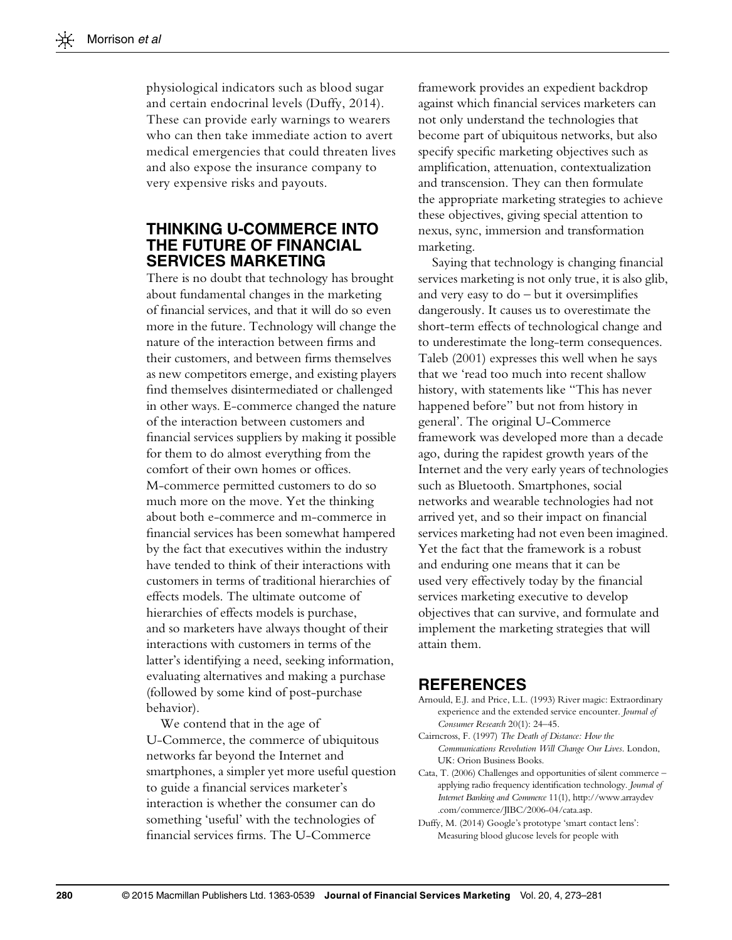<span id="page-7-0"></span>physiological indicators such as blood sugar and certain endocrinal levels (Duffy, 2014). These can provide early warnings to wearers who can then take immediate action to avert medical emergencies that could threaten lives and also expose the insurance company to very expensive risks and payouts.

### THINKING U-COMMERCE INTO THE FUTURE OF FINANCIAL SERVICES MARKETING

There is no doubt that technology has brought about fundamental changes in the marketing of financial services, and that it will do so even more in the future. Technology will change the nature of the interaction between firms and their customers, and between firms themselves as new competitors emerge, and existing players find themselves disintermediated or challenged in other ways. E-commerce changed the nature of the interaction between customers and financial services suppliers by making it possible for them to do almost everything from the comfort of their own homes or offices. M-commerce permitted customers to do so much more on the move. Yet the thinking about both e-commerce and m-commerce in financial services has been somewhat hampered by the fact that executives within the industry have tended to think of their interactions with customers in terms of traditional hierarchies of effects models. The ultimate outcome of hierarchies of effects models is purchase, and so marketers have always thought of their interactions with customers in terms of the latter's identifying a need, seeking information, evaluating alternatives and making a purchase (followed by some kind of post-purchase behavior).

We contend that in the age of U-Commerce, the commerce of ubiquitous networks far beyond the Internet and smartphones, a simpler yet more useful question to guide a financial services marketer's interaction is whether the consumer can do something 'useful' with the technologies of financial services firms. The U-Commerce

framework provides an expedient backdrop against which financial services marketers can not only understand the technologies that become part of ubiquitous networks, but also specify specific marketing objectives such as amplification, attenuation, contextualization and transcension. They can then formulate the appropriate marketing strategies to achieve these objectives, giving special attention to nexus, sync, immersion and transformation marketing.

Saying that technology is changing financial services marketing is not only true, it is also glib, and very easy to do – but it oversimplifies dangerously. It causes us to overestimate the short-term effects of technological change and to underestimate the long-term consequences. [Taleb \(2001\)](#page-8-0) expresses this well when he says that we 'read too much into recent shallow history, with statements like "This has never happened before" but not from history in general'. The original U-Commerce framework was developed more than a decade ago, during the rapidest growth years of the Internet and the very early years of technologies such as Bluetooth. Smartphones, social networks and wearable technologies had not arrived yet, and so their impact on financial services marketing had not even been imagined. Yet the fact that the framework is a robust and enduring one means that it can be used very effectively today by the financial services marketing executive to develop objectives that can survive, and formulate and implement the marketing strategies that will attain them.

#### REFERENCES

- Arnould, E.J. and Price, L.L. (1993) River magic: Extraordinary experience and the extended service encounter. Journal of Consumer Research 20(1): 24–45.
- Cairncross, F. (1997) The Death of Distance: How the Communications Revolution Will Change Our Lives. London, UK: Orion Business Books.
- Cata, T. (2006) Challenges and opportunities of silent commerce applying radio frequency identification technology. Journal of Internet Banking and Commerce 11(1), [http://www.arraydev](http://www.arraydev.com/commerce/JIBC/2006-04/cata.asp) [.com/commerce/JIBC/2006-04/cata.asp](http://www.arraydev.com/commerce/JIBC/2006-04/cata.asp).
- Duffy, M. (2014) Google's prototype 'smart contact lens': Measuring blood glucose levels for people with